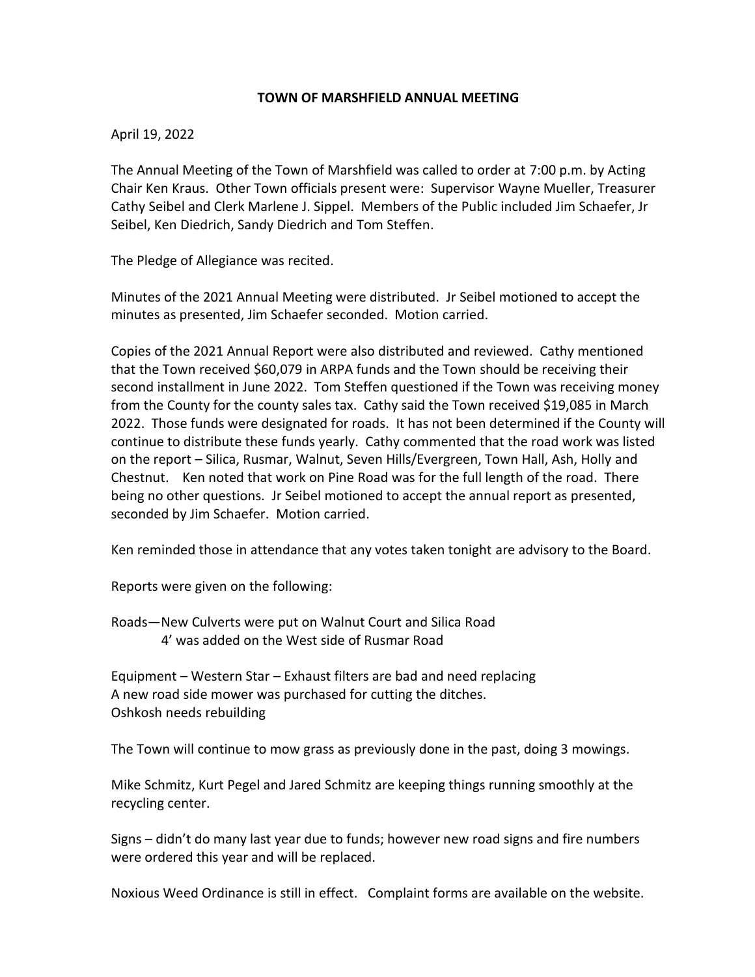## **TOWN OF MARSHFIELD ANNUAL MEETING**

## April 19, 2022

The Annual Meeting of the Town of Marshfield was called to order at 7:00 p.m. by Acting Chair Ken Kraus. Other Town officials present were: Supervisor Wayne Mueller, Treasurer Cathy Seibel and Clerk Marlene J. Sippel. Members of the Public included Jim Schaefer, Jr Seibel, Ken Diedrich, Sandy Diedrich and Tom Steffen.

The Pledge of Allegiance was recited.

Minutes of the 2021 Annual Meeting were distributed. Jr Seibel motioned to accept the minutes as presented, Jim Schaefer seconded. Motion carried.

Copies of the 2021 Annual Report were also distributed and reviewed. Cathy mentioned that the Town received \$60,079 in ARPA funds and the Town should be receiving their second installment in June 2022. Tom Steffen questioned if the Town was receiving money from the County for the county sales tax. Cathy said the Town received \$19,085 in March 2022. Those funds were designated for roads. It has not been determined if the County will continue to distribute these funds yearly. Cathy commented that the road work was listed on the report – Silica, Rusmar, Walnut, Seven Hills/Evergreen, Town Hall, Ash, Holly and Chestnut. Ken noted that work on Pine Road was for the full length of the road. There being no other questions. Jr Seibel motioned to accept the annual report as presented, seconded by Jim Schaefer. Motion carried.

Ken reminded those in attendance that any votes taken tonight are advisory to the Board.

Reports were given on the following:

Roads—New Culverts were put on Walnut Court and Silica Road 4' was added on the West side of Rusmar Road

Equipment – Western Star – Exhaust filters are bad and need replacing A new road side mower was purchased for cutting the ditches. Oshkosh needs rebuilding

The Town will continue to mow grass as previously done in the past, doing 3 mowings.

Mike Schmitz, Kurt Pegel and Jared Schmitz are keeping things running smoothly at the recycling center.

Signs – didn't do many last year due to funds; however new road signs and fire numbers were ordered this year and will be replaced.

Noxious Weed Ordinance is still in effect. Complaint forms are available on the website.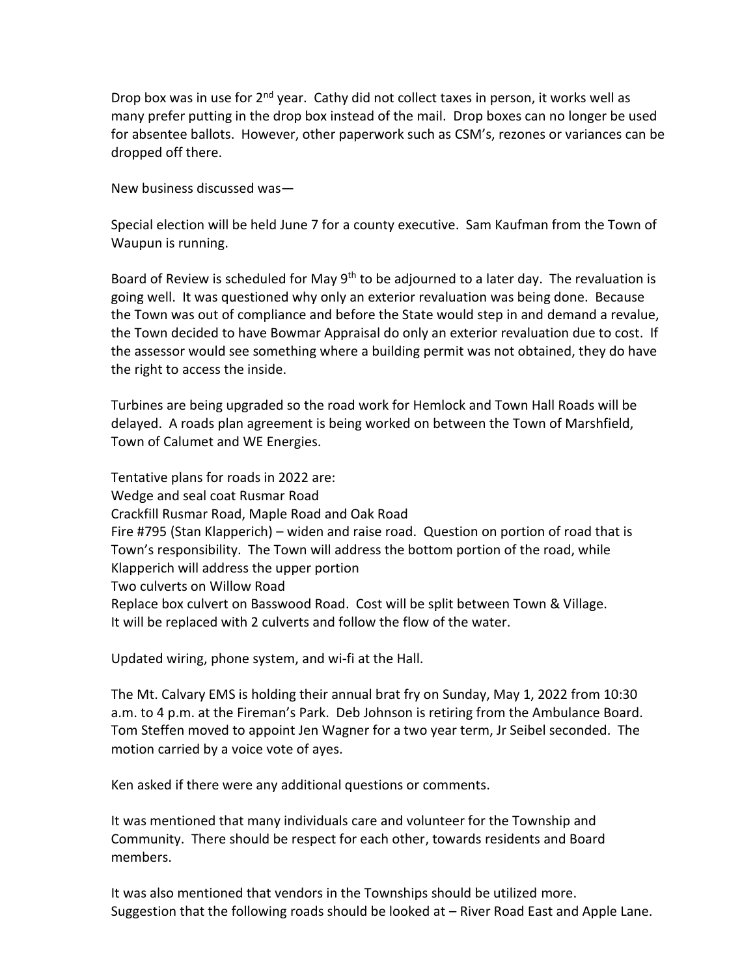Drop box was in use for 2<sup>nd</sup> year. Cathy did not collect taxes in person, it works well as many prefer putting in the drop box instead of the mail. Drop boxes can no longer be used for absentee ballots. However, other paperwork such as CSM's, rezones or variances can be dropped off there.

New business discussed was—

Special election will be held June 7 for a county executive. Sam Kaufman from the Town of Waupun is running.

Board of Review is scheduled for May  $9<sup>th</sup>$  to be adjourned to a later day. The revaluation is going well. It was questioned why only an exterior revaluation was being done. Because the Town was out of compliance and before the State would step in and demand a revalue, the Town decided to have Bowmar Appraisal do only an exterior revaluation due to cost. If the assessor would see something where a building permit was not obtained, they do have the right to access the inside.

Turbines are being upgraded so the road work for Hemlock and Town Hall Roads will be delayed. A roads plan agreement is being worked on between the Town of Marshfield, Town of Calumet and WE Energies.

Tentative plans for roads in 2022 are: Wedge and seal coat Rusmar Road Crackfill Rusmar Road, Maple Road and Oak Road Fire #795 (Stan Klapperich) – widen and raise road. Question on portion of road that is Town's responsibility. The Town will address the bottom portion of the road, while Klapperich will address the upper portion Two culverts on Willow Road Replace box culvert on Basswood Road. Cost will be split between Town & Village. It will be replaced with 2 culverts and follow the flow of the water.

Updated wiring, phone system, and wi-fi at the Hall.

The Mt. Calvary EMS is holding their annual brat fry on Sunday, May 1, 2022 from 10:30 a.m. to 4 p.m. at the Fireman's Park. Deb Johnson is retiring from the Ambulance Board. Tom Steffen moved to appoint Jen Wagner for a two year term, Jr Seibel seconded. The motion carried by a voice vote of ayes.

Ken asked if there were any additional questions or comments.

It was mentioned that many individuals care and volunteer for the Township and Community. There should be respect for each other, towards residents and Board members.

It was also mentioned that vendors in the Townships should be utilized more. Suggestion that the following roads should be looked at – River Road East and Apple Lane.